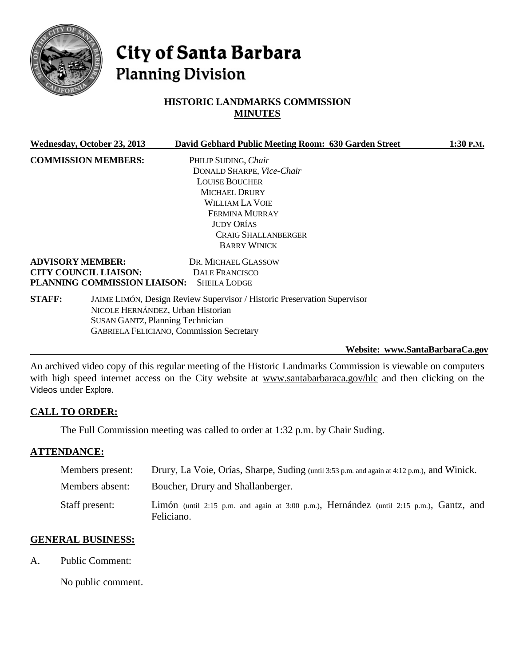

# City of Santa Barbara **Planning Division**

# **HISTORIC LANDMARKS COMMISSION MINUTES**

|               | Wednesday, October 23, 2013                                                                                                                                                                                 | David Gebhard Public Meeting Room: 630 Garden Street | 1:30 P.M. |
|---------------|-------------------------------------------------------------------------------------------------------------------------------------------------------------------------------------------------------------|------------------------------------------------------|-----------|
|               | <b>COMMISSION MEMBERS:</b>                                                                                                                                                                                  | PHILIP SUDING, Chair                                 |           |
|               |                                                                                                                                                                                                             | DONALD SHARPE, Vice-Chair                            |           |
|               |                                                                                                                                                                                                             | <b>LOUISE BOUCHER</b>                                |           |
|               |                                                                                                                                                                                                             | MICHAEL DRURY                                        |           |
|               |                                                                                                                                                                                                             | <b>WILLIAM LA VOIE</b>                               |           |
|               |                                                                                                                                                                                                             | <b>FERMINA MURRAY</b>                                |           |
|               |                                                                                                                                                                                                             | <b>JUDY ORÍAS</b>                                    |           |
|               |                                                                                                                                                                                                             | <b>CRAIG SHALLANBERGER</b>                           |           |
|               |                                                                                                                                                                                                             | <b>BARRY WINICK</b>                                  |           |
|               | <b>ADVISORY MEMBER:</b>                                                                                                                                                                                     | DR. MICHAEL GLASSOW                                  |           |
|               | <b>CITY COUNCIL LIAISON:</b>                                                                                                                                                                                | DALE FRANCISCO                                       |           |
|               | PLANNING COMMISSION LIAISON:                                                                                                                                                                                | <b>SHEILA LODGE</b>                                  |           |
| <b>STAFF:</b> | JAIME LIMÓN, Design Review Supervisor / Historic Preservation Supervisor<br>NICOLE HERNÁNDEZ, Urban Historian<br><b>SUSAN GANTZ, Planning Technician</b><br><b>GABRIELA FELICIANO, Commission Secretary</b> |                                                      |           |
|               |                                                                                                                                                                                                             |                                                      |           |

**Website: [www.SantaBarbaraCa.gov](http://www.santabarbaraca.gov/)**

An archived video copy of this regular meeting of the Historic Landmarks Commission is viewable on computers with high speed internet access on the City website at [www.santabarbaraca.gov/hlc](http://www.santabarbaraca.gov/hlc) and then clicking on the Videos under Explore.

### **CALL TO ORDER:**

The Full Commission meeting was called to order at 1:32 p.m. by Chair Suding.

#### **ATTENDANCE:**

| Members present: | Drury, La Voie, Orías, Sharpe, Suding (until 3:53 p.m. and again at 4:12 p.m.), and Winick.           |
|------------------|-------------------------------------------------------------------------------------------------------|
| Members absent:  | Boucher, Drury and Shallanberger.                                                                     |
| Staff present:   | Limón (until 2:15 p.m. and again at 3:00 p.m.), Hernández (until 2:15 p.m.), Gantz, and<br>Feliciano. |

#### **GENERAL BUSINESS:**

A. Public Comment:

No public comment.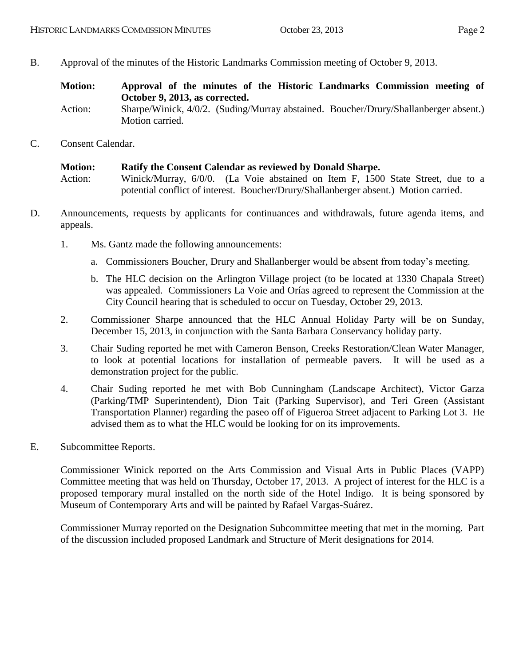- B. Approval of the minutes of the Historic Landmarks Commission meeting of October 9, 2013.
	- **Motion: Approval of the minutes of the Historic Landmarks Commission meeting of October 9, 2013, as corrected.**
	- Action: Sharpe/Winick, 4/0/2. (Suding/Murray abstained. Boucher/Drury/Shallanberger absent.) Motion carried.
- C. Consent Calendar.

```
Motion: Ratify the Consent Calendar as reviewed by Donald Sharpe.
Action: Winick/Murray, 6/0/0. (La Voie abstained on Item F, 1500 State Street, due to a 
             potential conflict of interest. Boucher/Drury/Shallanberger absent.) Motion carried.
```
- D. Announcements, requests by applicants for continuances and withdrawals, future agenda items, and appeals.
	- 1. Ms. Gantz made the following announcements:
		- a. Commissioners Boucher, Drury and Shallanberger would be absent from today's meeting.
		- b. The HLC decision on the Arlington Village project (to be located at 1330 Chapala Street) was appealed. Commissioners La Voie and Orías agreed to represent the Commission at the City Council hearing that is scheduled to occur on Tuesday, October 29, 2013.
	- 2. Commissioner Sharpe announced that the HLC Annual Holiday Party will be on Sunday, December 15, 2013, in conjunction with the Santa Barbara Conservancy holiday party.
	- 3. Chair Suding reported he met with Cameron Benson, Creeks Restoration/Clean Water Manager, to look at potential locations for installation of permeable pavers. It will be used as a demonstration project for the public.
	- 4. Chair Suding reported he met with Bob Cunningham (Landscape Architect), Victor Garza (Parking/TMP Superintendent), Dion Tait (Parking Supervisor), and Teri Green (Assistant Transportation Planner) regarding the paseo off of Figueroa Street adjacent to Parking Lot 3. He advised them as to what the HLC would be looking for on its improvements.
- E. Subcommittee Reports.

Commissioner Winick reported on the Arts Commission and Visual Arts in Public Places (VAPP) Committee meeting that was held on Thursday, October 17, 2013. A project of interest for the HLC is a proposed temporary mural installed on the north side of the Hotel Indigo. It is being sponsored by Museum of Contemporary Arts and will be painted by Rafael Vargas-Suárez.

Commissioner Murray reported on the Designation Subcommittee meeting that met in the morning. Part of the discussion included proposed Landmark and Structure of Merit designations for 2014.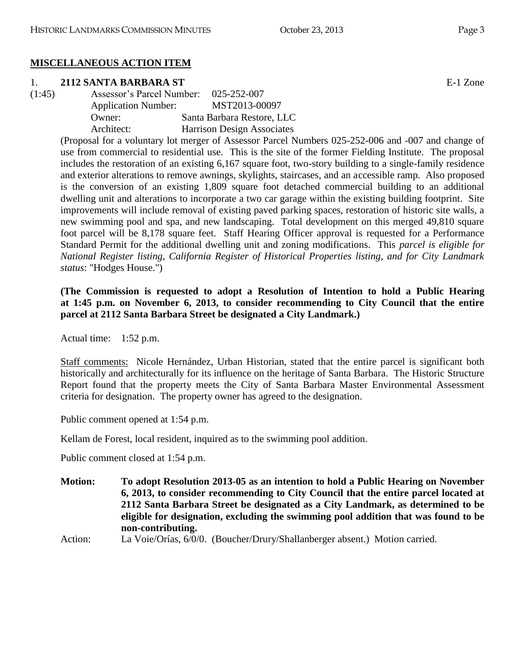# **MISCELLANEOUS ACTION ITEM**

### 1. **2112 SANTA BARBARA ST** E-1 Zone

(1:45) Assessor's Parcel Number: 025-252-007 Application Number: MST2013-00097 Owner: Santa Barbara Restore, LLC Architect: Harrison Design Associates

(Proposal for a voluntary lot merger of Assessor Parcel Numbers 025-252-006 and -007 and change of use from commercial to residential use. This is the site of the former Fielding Institute. The proposal includes the restoration of an existing 6,167 square foot, two-story building to a single-family residence and exterior alterations to remove awnings, skylights, staircases, and an accessible ramp. Also proposed is the conversion of an existing 1,809 square foot detached commercial building to an additional dwelling unit and alterations to incorporate a two car garage within the existing building footprint. Site improvements will include removal of existing paved parking spaces, restoration of historic site walls, a new swimming pool and spa, and new landscaping. Total development on this merged 49,810 square foot parcel will be 8,178 square feet. Staff Hearing Officer approval is requested for a Performance Standard Permit for the additional dwelling unit and zoning modifications. This *parcel is eligible for National Register listing, California Register of Historical Properties listing, and for City Landmark status*: "Hodges House.")

### **(The Commission is requested to adopt a Resolution of Intention to hold a Public Hearing at 1:45 p.m. on November 6, 2013, to consider recommending to City Council that the entire parcel at 2112 Santa Barbara Street be designated a City Landmark.)**

Actual time: 1:52 p.m.

Staff comments: Nicole Hernández, Urban Historian, stated that the entire parcel is significant both historically and architecturally for its influence on the heritage of Santa Barbara. The Historic Structure Report found that the property meets the City of Santa Barbara Master Environmental Assessment criteria for designation. The property owner has agreed to the designation.

Public comment opened at 1:54 p.m.

Kellam de Forest, local resident, inquired as to the swimming pool addition.

Public comment closed at 1:54 p.m.

**Motion: To adopt Resolution 2013-05 as an intention to hold a Public Hearing on November 6, 2013, to consider recommending to City Council that the entire parcel located at 2112 Santa Barbara Street be designated as a City Landmark, as determined to be eligible for designation, excluding the swimming pool addition that was found to be non-contributing.**

Action: La Voie/Orías, 6/0/0. (Boucher/Drury/Shallanberger absent.) Motion carried.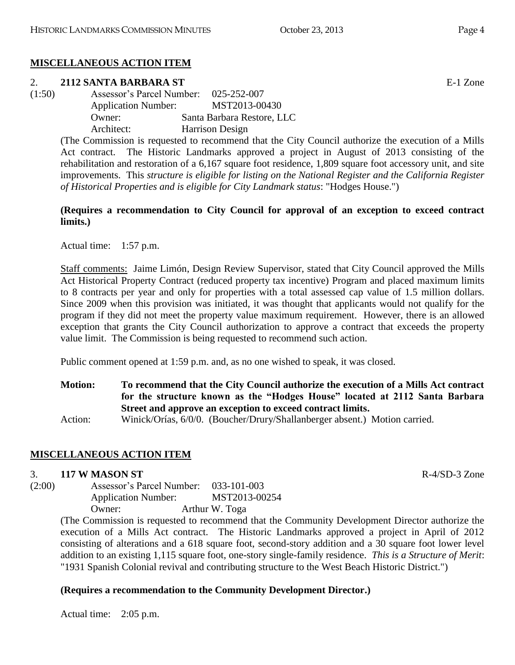# **MISCELLANEOUS ACTION ITEM**

### 2. **2112 SANTA BARBARA ST** E-1 Zone

(1:50) Assessor's Parcel Number: 025-252-007 Application Number: MST2013-00430 Owner: Santa Barbara Restore, LLC Architect: Harrison Design

> (The Commission is requested to recommend that the City Council authorize the execution of a Mills Act contract. The Historic Landmarks approved a project in August of 2013 consisting of the rehabilitation and restoration of a 6,167 square foot residence, 1,809 square foot accessory unit, and site improvements. This *structure is eligible for listing on the National Register and the California Register of Historical Properties and is eligible for City Landmark status*: "Hodges House.")

### **(Requires a recommendation to City Council for approval of an exception to exceed contract limits.)**

Actual time: 1:57 p.m.

Staff comments: Jaime Limón, Design Review Supervisor, stated that City Council approved the Mills Act Historical Property Contract (reduced property tax incentive) Program and placed maximum limits to 8 contracts per year and only for properties with a total assessed cap value of 1.5 million dollars. Since 2009 when this provision was initiated, it was thought that applicants would not qualify for the program if they did not meet the property value maximum requirement. However, there is an allowed exception that grants the City Council authorization to approve a contract that exceeds the property value limit. The Commission is being requested to recommend such action.

Public comment opened at 1:59 p.m. and, as no one wished to speak, it was closed.

**Motion: To recommend that the City Council authorize the execution of a Mills Act contract for the structure known as the "Hodges House" located at 2112 Santa Barbara Street and approve an exception to exceed contract limits.** Action: Winick/Orías, 6/0/0. (Boucher/Drury/Shallanberger absent.) Motion carried.

# **MISCELLANEOUS ACTION ITEM**

### 3. **117 W MASON ST** R-4/SD-3 Zone

(2:00) Assessor's Parcel Number: 033-101-003 Application Number: MST2013-00254 Owner: Arthur W. Toga

(The Commission is requested to recommend that the Community Development Director authorize the execution of a Mills Act contract. The Historic Landmarks approved a project in April of 2012 consisting of alterations and a 618 square foot, second-story addition and a 30 square foot lower level addition to an existing 1,115 square foot, one-story single-family residence. *This is a Structure of Merit*: "1931 Spanish Colonial revival and contributing structure to the West Beach Historic District.")

### **(Requires a recommendation to the Community Development Director.)**

Actual time: 2:05 p.m.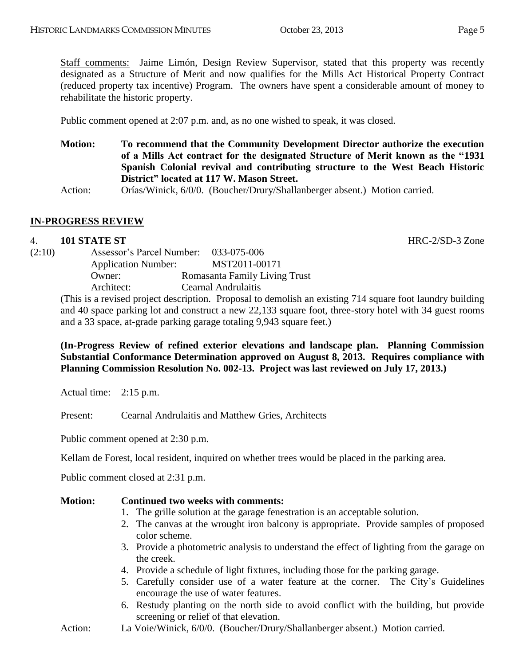Staff comments: Jaime Limón, Design Review Supervisor, stated that this property was recently designated as a Structure of Merit and now qualifies for the Mills Act Historical Property Contract (reduced property tax incentive) Program. The owners have spent a considerable amount of money to rehabilitate the historic property.

Public comment opened at 2:07 p.m. and, as no one wished to speak, it was closed.

**Motion: To recommend that the Community Development Director authorize the execution of a Mills Act contract for the designated Structure of Merit known as the "1931 Spanish Colonial revival and contributing structure to the West Beach Historic District" located at 117 W. Mason Street.**

Action: Orías/Winick, 6/0/0. (Boucher/Drury/Shallanberger absent.) Motion carried.

#### **IN-PROGRESS REVIEW**

#### 4. **101 STATE ST** HRC-2/SD-3 Zone

| (2:10) | Assessor's Parcel Number: 033-075-006 |                               |
|--------|---------------------------------------|-------------------------------|
|        | <b>Application Number:</b>            | MST2011-00171                 |
|        | Owner:                                | Romasanta Family Living Trust |
|        | Architect:                            | Cearnal Andrulaitis           |

(This is a revised project description. Proposal to demolish an existing 714 square foot laundry building and 40 space parking lot and construct a new 22,133 square foot, three-story hotel with 34 guest rooms and a 33 space, at-grade parking garage totaling 9,943 square feet.)

**(In-Progress Review of refined exterior elevations and landscape plan. Planning Commission Substantial Conformance Determination approved on August 8, 2013. Requires compliance with Planning Commission Resolution No. 002-13. Project was last reviewed on July 17, 2013.)**

Actual time: 2:15 p.m.

Present: Cearnal Andrulaitis and Matthew Gries, Architects

Public comment opened at 2:30 p.m.

Kellam de Forest, local resident, inquired on whether trees would be placed in the parking area.

Public comment closed at 2:31 p.m.

#### **Motion: Continued two weeks with comments:**

- 1. The grille solution at the garage fenestration is an acceptable solution.
- 2. The canvas at the wrought iron balcony is appropriate. Provide samples of proposed color scheme.
- 3. Provide a photometric analysis to understand the effect of lighting from the garage on the creek.
- 4. Provide a schedule of light fixtures, including those for the parking garage.
- 5. Carefully consider use of a water feature at the corner. The City's Guidelines encourage the use of water features.
- 6. Restudy planting on the north side to avoid conflict with the building, but provide screening or relief of that elevation.
- Action: La Voie/Winick, 6/0/0. (Boucher/Drury/Shallanberger absent.) Motion carried.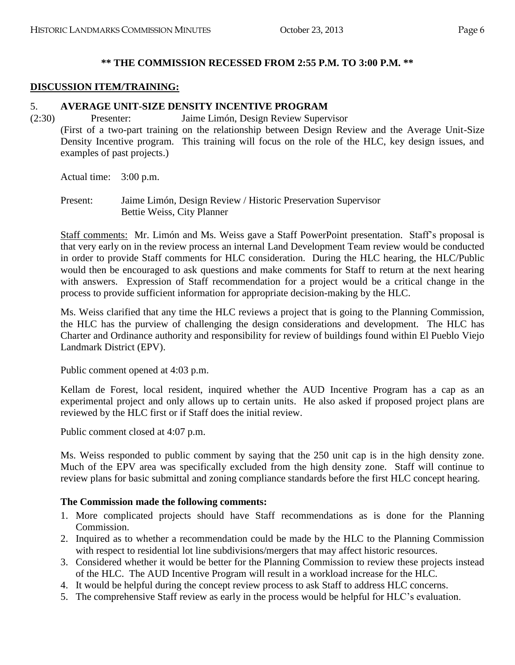#### **\*\* THE COMMISSION RECESSED FROM 2:55 P.M. TO 3:00 P.M. \*\***

#### **DISCUSSION ITEM/TRAINING:**

#### 5. **AVERAGE UNIT-SIZE DENSITY INCENTIVE PROGRAM**

(2:30) Presenter: Jaime Limón, Design Review Supervisor (First of a two-part training on the relationship between Design Review and the Average Unit-Size Density Incentive program. This training will focus on the role of the HLC, key design issues, and examples of past projects.)

Actual time: 3:00 p.m.

Present: Jaime Limón, Design Review / Historic Preservation Supervisor Bettie Weiss, City Planner

Staff comments: Mr. Limón and Ms. Weiss gave a Staff PowerPoint presentation. Staff's proposal is that very early on in the review process an internal Land Development Team review would be conducted in order to provide Staff comments for HLC consideration. During the HLC hearing, the HLC/Public would then be encouraged to ask questions and make comments for Staff to return at the next hearing with answers. Expression of Staff recommendation for a project would be a critical change in the process to provide sufficient information for appropriate decision-making by the HLC.

Ms. Weiss clarified that any time the HLC reviews a project that is going to the Planning Commission, the HLC has the purview of challenging the design considerations and development. The HLC has Charter and Ordinance authority and responsibility for review of buildings found within El Pueblo Viejo Landmark District (EPV).

Public comment opened at 4:03 p.m.

Kellam de Forest, local resident, inquired whether the AUD Incentive Program has a cap as an experimental project and only allows up to certain units. He also asked if proposed project plans are reviewed by the HLC first or if Staff does the initial review.

Public comment closed at 4:07 p.m.

Ms. Weiss responded to public comment by saying that the 250 unit cap is in the high density zone. Much of the EPV area was specifically excluded from the high density zone. Staff will continue to review plans for basic submittal and zoning compliance standards before the first HLC concept hearing.

#### **The Commission made the following comments:**

- 1. More complicated projects should have Staff recommendations as is done for the Planning Commission.
- 2. Inquired as to whether a recommendation could be made by the HLC to the Planning Commission with respect to residential lot line subdivisions/mergers that may affect historic resources.
- 3. Considered whether it would be better for the Planning Commission to review these projects instead of the HLC. The AUD Incentive Program will result in a workload increase for the HLC.
- 4. It would be helpful during the concept review process to ask Staff to address HLC concerns.
- 5. The comprehensive Staff review as early in the process would be helpful for HLC's evaluation.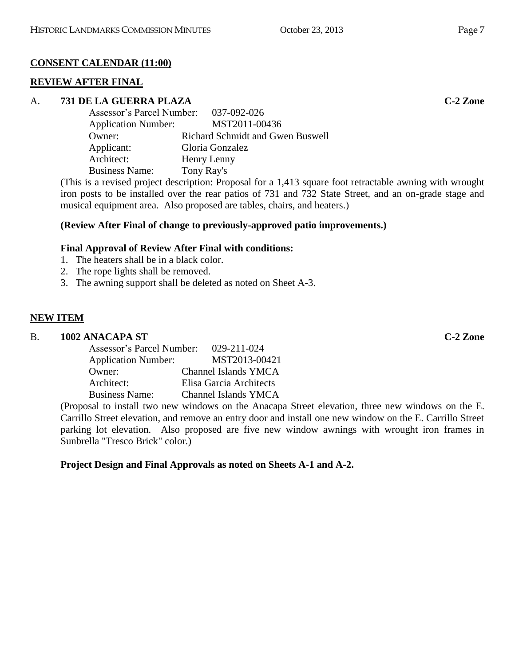# **CONSENT CALENDAR (11:00)**

### **REVIEW AFTER FINAL**

### A. **731 DE LA GUERRA PLAZA C-2 Zone**

| Assessor's Parcel Number:  | 037-092-026                      |
|----------------------------|----------------------------------|
| <b>Application Number:</b> | MST2011-00436                    |
| Owner:                     | Richard Schmidt and Gwen Buswell |
| Applicant:                 | Gloria Gonzalez                  |
| Architect:                 | Henry Lenny                      |
| <b>Business Name:</b>      | Tony Ray's                       |

(This is a revised project description: Proposal for a 1,413 square foot retractable awning with wrought iron posts to be installed over the rear patios of 731 and 732 State Street, and an on-grade stage and musical equipment area. Also proposed are tables, chairs, and heaters.)

# **(Review After Final of change to previously-approved patio improvements.)**

# **Final Approval of Review After Final with conditions:**

- 1. The heaters shall be in a black color.
- 2. The rope lights shall be removed.
- 3. The awning support shall be deleted as noted on Sheet A-3.

# **NEW ITEM**

### B. **1002 ANACAPA ST C-2 Zone**

| Assessor's Parcel Number:                 | 029-211-024                 |
|-------------------------------------------|-----------------------------|
| <b>Application Number:</b>                | MST2013-00421               |
| Owner:                                    | <b>Channel Islands YMCA</b> |
| Architect:                                | Elisa Garcia Architects     |
| <b>Business Name:</b>                     | <b>Channel Islands YMCA</b> |
| $\sim$ $\sim$ $\sim$ $\sim$ $\sim$ $\sim$ |                             |

(Proposal to install two new windows on the Anacapa Street elevation, three new windows on the E. Carrillo Street elevation, and remove an entry door and install one new window on the E. Carrillo Street parking lot elevation. Also proposed are five new window awnings with wrought iron frames in Sunbrella "Tresco Brick" color.)

# **Project Design and Final Approvals as noted on Sheets A-1 and A-2.**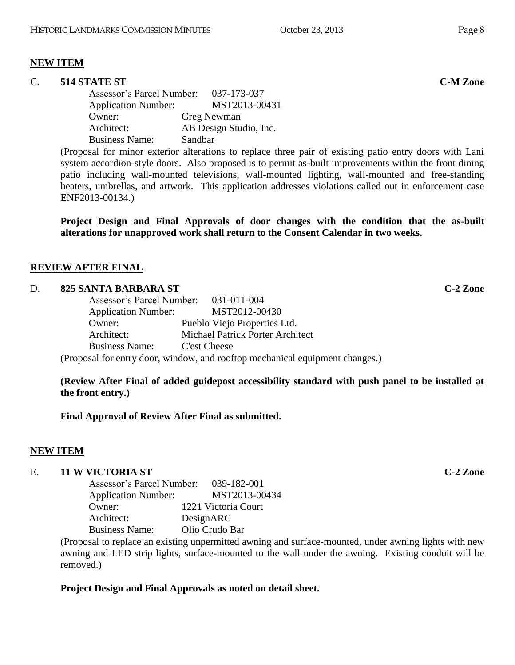### **NEW ITEM**

# C. **514 STATE ST C-M Zone**

Assessor's Parcel Number: 037-173-037 Application Number: MST2013-00431 Owner: Greg Newman Architect: AB Design Studio, Inc. Business Name: Sandbar

(Proposal for minor exterior alterations to replace three pair of existing patio entry doors with Lani system accordion-style doors. Also proposed is to permit as-built improvements within the front dining patio including wall-mounted televisions, wall-mounted lighting, wall-mounted and free-standing heaters, umbrellas, and artwork. This application addresses violations called out in enforcement case ENF2013-00134.)

**Project Design and Final Approvals of door changes with the condition that the as-built alterations for unapproved work shall return to the Consent Calendar in two weeks.**

# **REVIEW AFTER FINAL**

### D. **825 SANTA BARBARA ST C-2 Zone**

| Assessor's Parcel Number: 031-011-004 |                                         |                                                                         |
|---------------------------------------|-----------------------------------------|-------------------------------------------------------------------------|
| <b>Application Number:</b>            | MST2012-00430                           |                                                                         |
| Owner:                                | Pueblo Viejo Properties Ltd.            |                                                                         |
| Architect:                            | <b>Michael Patrick Porter Architect</b> |                                                                         |
| <b>Business Name:</b>                 | C'est Cheese                            |                                                                         |
|                                       |                                         | eneced for entry door, window, and reaften mechanical equipment abonger |

(Proposal for entry door, window, and rooftop mechanical equipment changes.)

**(Review After Final of added guidepost accessibility standard with push panel to be installed at the front entry.)**

**Final Approval of Review After Final as submitted.**

# **NEW ITEM**

### E. **11 W VICTORIA ST C-2 Zone**

| Assessor's Parcel Number:  | 039-182-001         |
|----------------------------|---------------------|
| <b>Application Number:</b> | MST2013-00434       |
| Owner:                     | 1221 Victoria Court |
| Architect:                 | DesignARC           |
| <b>Business Name:</b>      | Olio Crudo Bar      |

(Proposal to replace an existing unpermitted awning and surface-mounted, under awning lights with new awning and LED strip lights, surface-mounted to the wall under the awning. Existing conduit will be removed.)

# **Project Design and Final Approvals as noted on detail sheet.**